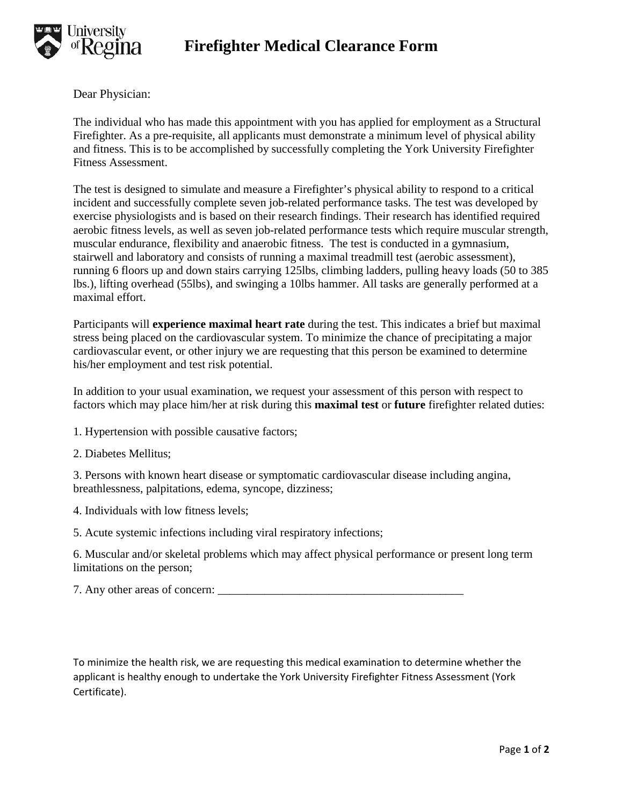

Dear Physician:

The individual who has made this appointment with you has applied for employment as a Structural Firefighter. As a pre-requisite, all applicants must demonstrate a minimum level of physical ability and fitness. This is to be accomplished by successfully completing the York University Firefighter Fitness Assessment.

The test is designed to simulate and measure a Firefighter's physical ability to respond to a critical incident and successfully complete seven job-related performance tasks. The test was developed by exercise physiologists and is based on their research findings. Their research has identified required aerobic fitness levels, as well as seven job-related performance tests which require muscular strength, muscular endurance, flexibility and anaerobic fitness. The test is conducted in a gymnasium, stairwell and laboratory and consists of running a maximal treadmill test (aerobic assessment), running 6 floors up and down stairs carrying 125lbs, climbing ladders, pulling heavy loads (50 to 385 lbs.), lifting overhead (55lbs), and swinging a 10lbs hammer. All tasks are generally performed at a maximal effort.

Participants will **experience maximal heart rate** during the test. This indicates a brief but maximal stress being placed on the cardiovascular system. To minimize the chance of precipitating a major cardiovascular event, or other injury we are requesting that this person be examined to determine his/her employment and test risk potential.

In addition to your usual examination, we request your assessment of this person with respect to factors which may place him/her at risk during this **maximal test** or **future** firefighter related duties:

- 1. Hypertension with possible causative factors;
- 2. Diabetes Mellitus;

3. Persons with known heart disease or symptomatic cardiovascular disease including angina, breathlessness, palpitations, edema, syncope, dizziness;

4. Individuals with low fitness levels;

5. Acute systemic infections including viral respiratory infections;

6. Muscular and/or skeletal problems which may affect physical performance or present long term limitations on the person;

| 7. Any other areas of concern: |  |
|--------------------------------|--|
|                                |  |

To minimize the health risk, we are requesting this medical examination to determine whether the applicant is healthy enough to undertake the York University Firefighter Fitness Assessment (York Certificate).